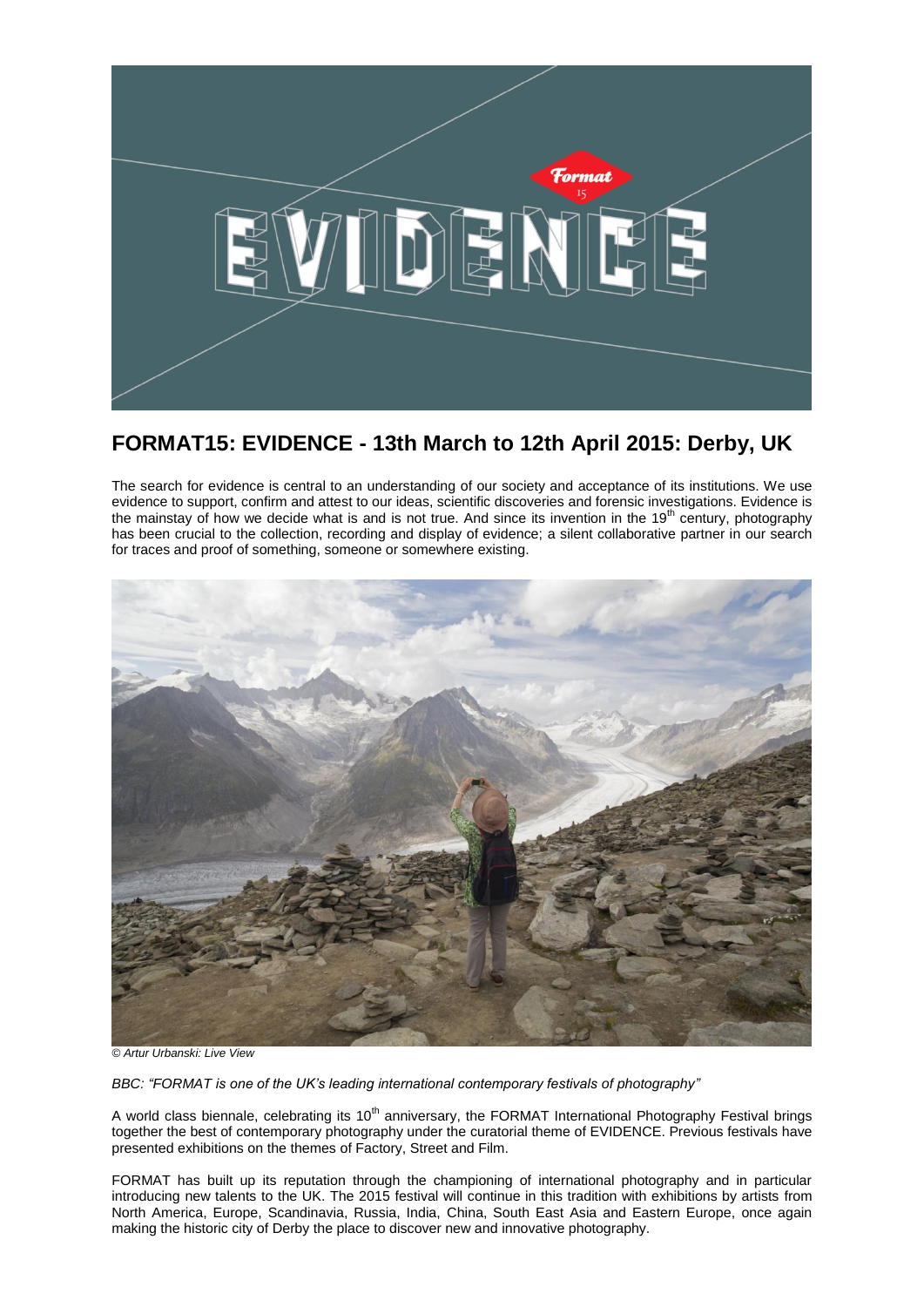

# **FORMAT15: EVIDENCE - 13th March to 12th April 2015: Derby, UK**

The search for evidence is central to an understanding of our society and acceptance of its institutions. We use evidence to support, confirm and attest to our ideas, scientific discoveries and forensic investigations. Evidence is the mainstay of how we decide what is and is not true. And since its invention in the  $19<sup>th</sup>$  century, photography has been crucial to the collection, recording and display of evidence; a silent collaborative partner in our search for traces and proof of something, someone or somewhere existing.



*© Artur Urbanski: Live View*

*BBC: "FORMAT is one of the UK's leading international contemporary festivals of photography"*

A world class biennale, celebrating its 10<sup>th</sup> anniversary, the FORMAT International Photography Festival brings together the best of contemporary photography under the curatorial theme of EVIDENCE. Previous festivals have presented exhibitions on the themes of Factory, Street and Film.

FORMAT has built up its reputation through the championing of international photography and in particular introducing new talents to the UK. The 2015 festival will continue in this tradition with exhibitions by artists from North America, Europe, Scandinavia, Russia, India, China, South East Asia and Eastern Europe, once again making the historic city of Derby the place to discover new and innovative photography.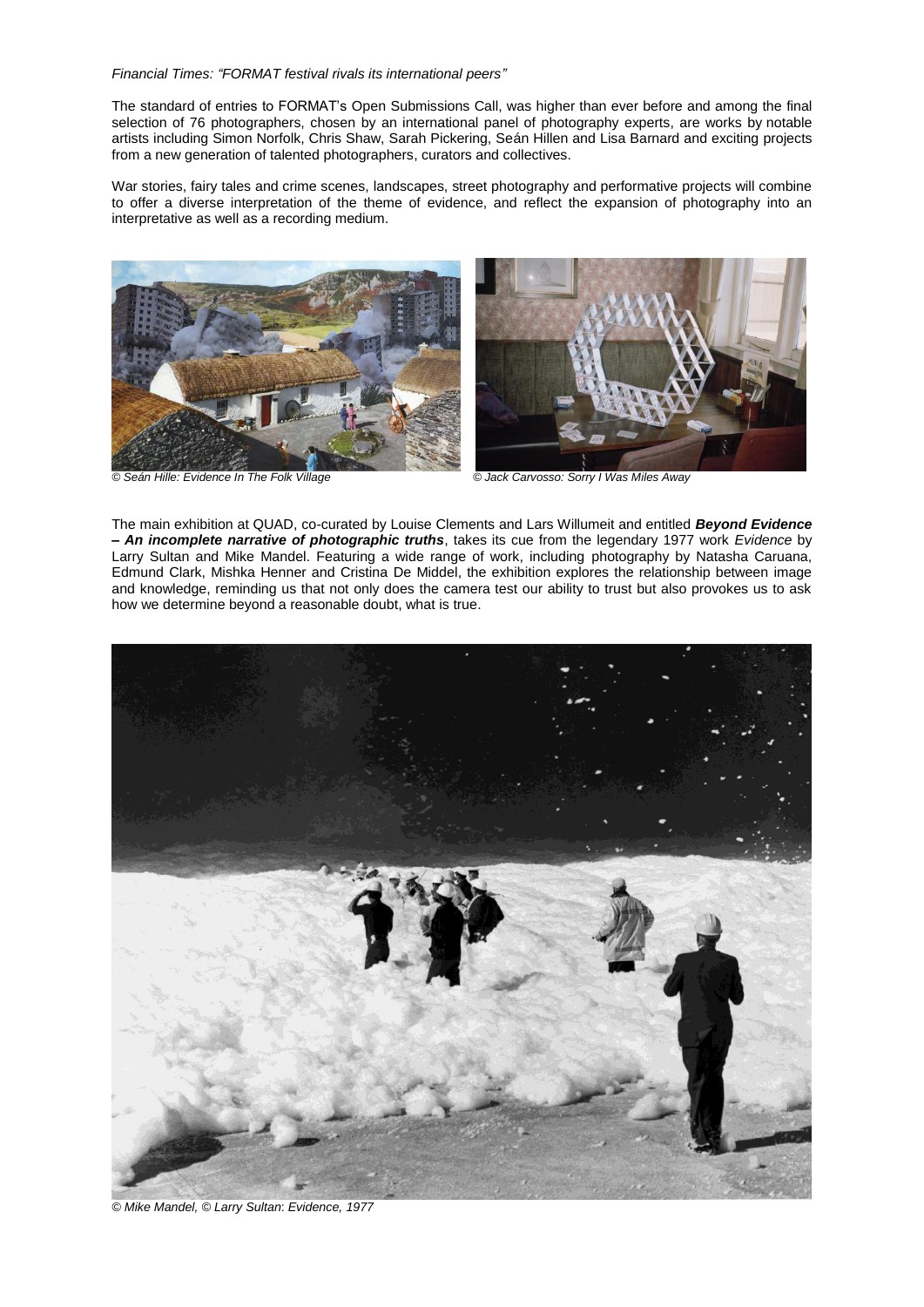#### *Financial Times: "FORMAT festival rivals its international peers"*

The standard of entries to FORMAT's Open Submissions Call, was higher than ever before and among the final selection of 76 photographers, chosen by an international panel of photography experts, are works by notable artists including Simon Norfolk, Chris Shaw, Sarah Pickering, Seán Hillen and Lisa Barnard and exciting projects from a new generation of talented photographers, curators and collectives.

War stories, fairy tales and crime scenes, landscapes, street photography and performative projects will combine to offer a diverse interpretation of the theme of evidence, and reflect the expansion of photography into an interpretative as well as a recording medium.





The main exhibition at QUAD, co-curated by Louise Clements and Lars Willumeit and entitled *Beyond Evidence – An incomplete narrative of photographic truths*, takes its cue from the legendary 1977 work *Evidence* by Larry Sultan and Mike Mandel. Featuring a wide range of work, including photography by Natasha Caruana, Edmund Clark, Mishka Henner and Cristina De Middel, the exhibition explores the relationship between image and knowledge, reminding us that not only does the camera test our ability to trust but also provokes us to ask how we determine beyond a reasonable doubt, what is true.



*© Mike Mandel, © Larry Sultan*: *Evidence, 1977*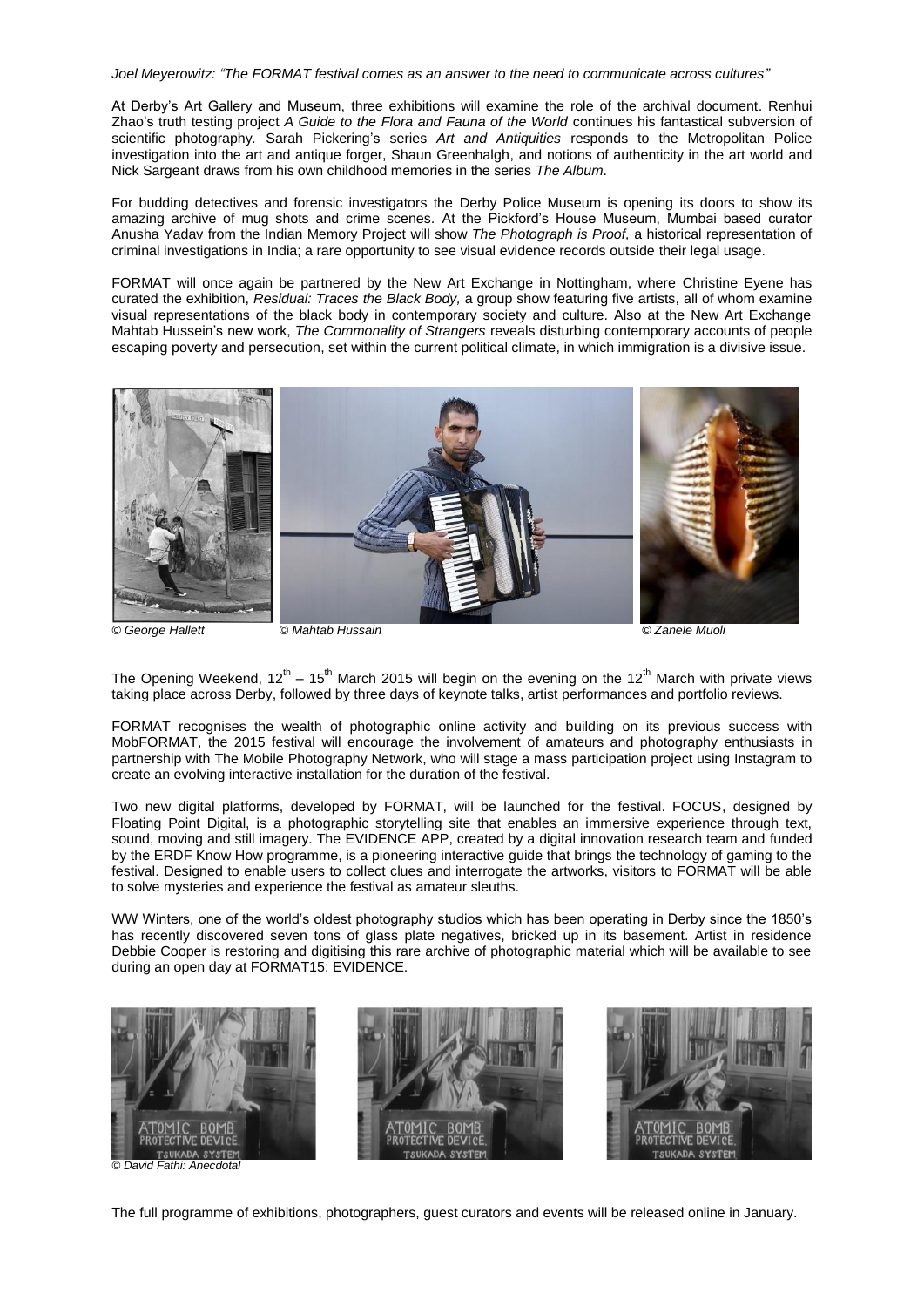*Joel Meyerowitz: "The FORMAT festival comes as an answer to the need to communicate across cultures"*

At Derby's Art Gallery and Museum, three exhibitions will examine the role of the archival document. Renhui Zhao's truth testing project *A Guide to the Flora and Fauna of the World* continues his fantastical subversion of scientific photography*.* Sarah Pickering's series *Art and Antiquities* responds to the Metropolitan Police investigation into the art and antique forger, Shaun Greenhalgh, and notions of authenticity in the art world and Nick Sargeant draws from his own childhood memories in the series *The Album*.

For budding detectives and forensic investigators the Derby Police Museum is opening its doors to show its amazing archive of mug shots and crime scenes. At the Pickford's House Museum, Mumbai based curator Anusha Yadav from the Indian Memory Project will show *The Photograph is Proof,* a historical representation of criminal investigations in India; a rare opportunity to see visual evidence records outside their legal usage.

FORMAT will once again be partnered by the New Art Exchange in Nottingham, where Christine Eyene has curated the exhibition, *Residual: Traces the Black Body,* a group show featuring five artists, all of whom examine visual representations of the black body in contemporary society and culture. Also at the New Art Exchange Mahtab Hussein's new work, *The Commonality of Strangers* reveals disturbing contemporary accounts of people escaping poverty and persecution, set within the current political climate, in which immigration is a divisive issue.



*© George Hallett © Mahtab Hussain © Zanele Muoli*

The Opening Weekend, 12<sup>th</sup> – 15<sup>th</sup> March 2015 will begin on the evening on the 12<sup>th</sup> March with private views taking place across Derby, followed by three days of keynote talks, artist performances and portfolio reviews.

FORMAT recognises the wealth of photographic online activity and building on its previous success with MobFORMAT, the 2015 festival will encourage the involvement of amateurs and photography enthusiasts in partnership with The Mobile Photography Network, who will stage a mass participation project using Instagram to create an evolving interactive installation for the duration of the festival.

Two new digital platforms, developed by FORMAT, will be launched for the festival. FOCUS, designed by Floating Point Digital, is a photographic storytelling site that enables an immersive experience through text, sound, moving and still imagery. The EVIDENCE APP, created by a digital innovation research team and funded by the ERDF Know How programme, is a pioneering interactive guide that brings the technology of gaming to the festival. Designed to enable users to collect clues and interrogate the artworks, visitors to FORMAT will be able to solve mysteries and experience the festival as amateur sleuths.

WW Winters, one of the world's oldest photography studios which has been operating in Derby since the 1850's has recently discovered seven tons of glass plate negatives, bricked up in its basement. Artist in residence Debbie Cooper is restoring and digitising this rare archive of photographic material which will be available to see during an open day at FORMAT15: EVIDENCE.



*© David Fathi: Anecdotal*

The full programme of exhibitions, photographers, guest curators and events will be released online in January.